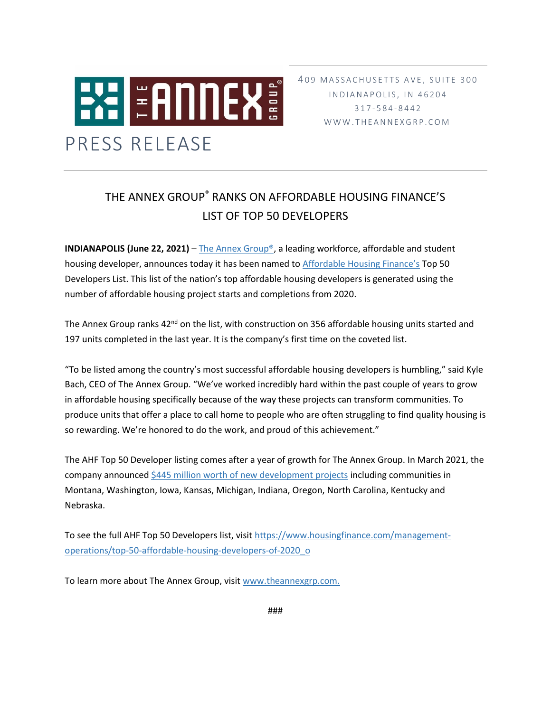

409 MASSACHUSETTS AVE, SUITE 300 IN D I A N A P O L I S, IN 46204 317 - 5 8 4 - 8 4 4 2 W W W . T H E A N N E X G R P . C O M

## THE ANNEX GROUP® RANKS ON AFFORDABLE HOUSING FINANCE'S LIST OF TOP 50 DEVELOPERS

**INDIANAPOLIS (June 22, 2021)** – The Annex Group<sup>®</sup>, a leading workforce, affordable and student housing developer, announces today it has been named to [Affordable Housing Finance's](https://www.housingfinance.com/) Top 50 Developers List. This list of the nation's top affordable housing developers is generated using the number of affordable housing project starts and completions from 2020.

The Annex Group ranks 42<sup>nd</sup> on the list, with construction on 356 affordable housing units started and 197 units completed in the last year. It is the company's first time on the coveted list.

"To be listed among the country's most successful affordable housing developers is humbling," said Kyle Bach, CEO of The Annex Group. "We've worked incredibly hard within the past couple of years to grow in affordable housing specifically because of the way these projects can transform communities. To produce units that offer a place to call home to people who are often struggling to find quality housing is so rewarding. We're honored to do the work, and proud of this achievement."

The AHF Top 50 Developer listing comes after a year of growth for The Annex Group. In March 2021, the company announced [\\$445 million worth of new development projects](https://www.theannexgrp.com/the-annex-group-announces-445-million-in-new-development-projects/) including communities in Montana, Washington, Iowa, Kansas, Michigan, Indiana, Oregon, North Carolina, Kentucky and Nebraska.

To see the full AHF Top 50 Developers list, visit [https://www.housingfinance.com/management](https://www.housingfinance.com/management-operations/top-50-affordable-housing-developers-of-2020_o)[operations/top-50-affordable-housing-developers-of-2020\\_o](https://www.housingfinance.com/management-operations/top-50-affordable-housing-developers-of-2020_o)

To learn more about The Annex Group, visit [www.theannexgrp.com.](http://www.theannexgrp.com/)